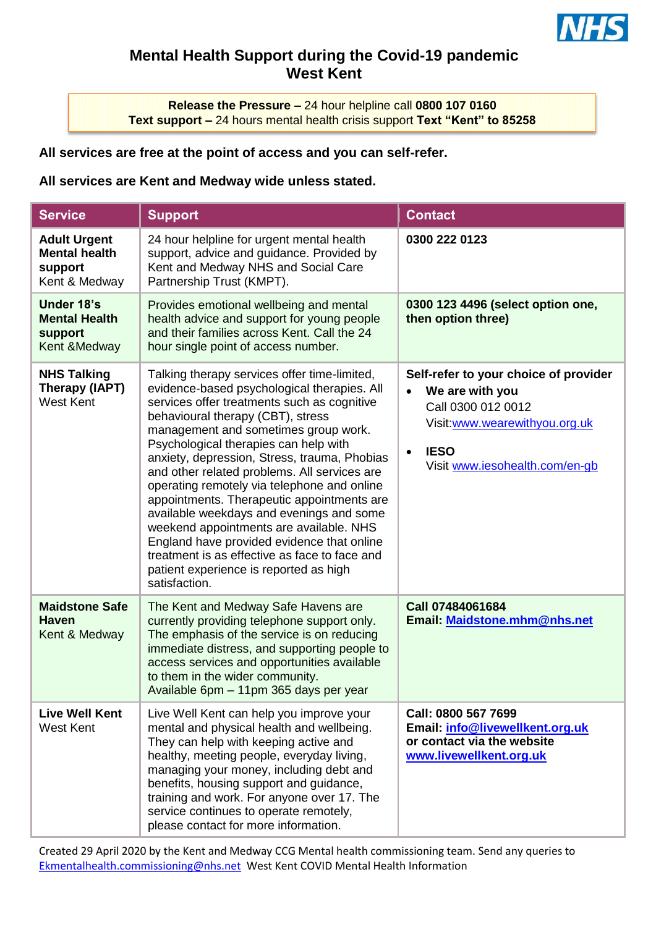

## **Mental Health Support during the Covid-19 pandemic West Kent**

**Release the Pressure –** 24 hour helpline call **0800 107 0160 Text support –** 24 hours mental health crisis support **Text "Kent" to 85258**

## **All services are free at the point of access and you can self-refer.**

## **All services are Kent and Medway wide unless stated.**

| <b>Service</b>                                                          | <b>Support</b>                                                                                                                                                                                                                                                                                                                                                                                                                                                                                                                                                                                                                                                                                                 | <b>Contact</b>                                                                                                                                                                             |
|-------------------------------------------------------------------------|----------------------------------------------------------------------------------------------------------------------------------------------------------------------------------------------------------------------------------------------------------------------------------------------------------------------------------------------------------------------------------------------------------------------------------------------------------------------------------------------------------------------------------------------------------------------------------------------------------------------------------------------------------------------------------------------------------------|--------------------------------------------------------------------------------------------------------------------------------------------------------------------------------------------|
| <b>Adult Urgent</b><br><b>Mental health</b><br>support<br>Kent & Medway | 24 hour helpline for urgent mental health<br>support, advice and guidance. Provided by<br>Kent and Medway NHS and Social Care<br>Partnership Trust (KMPT).                                                                                                                                                                                                                                                                                                                                                                                                                                                                                                                                                     | 0300 222 0123                                                                                                                                                                              |
| Under 18's<br><b>Mental Health</b><br>support<br>Kent & Medway          | Provides emotional wellbeing and mental<br>health advice and support for young people<br>and their families across Kent. Call the 24<br>hour single point of access number.                                                                                                                                                                                                                                                                                                                                                                                                                                                                                                                                    | 0300 123 4496 (select option one,<br>then option three)                                                                                                                                    |
| <b>NHS Talking</b><br>Therapy (IAPT)<br><b>West Kent</b>                | Talking therapy services offer time-limited,<br>evidence-based psychological therapies. All<br>services offer treatments such as cognitive<br>behavioural therapy (CBT), stress<br>management and sometimes group work.<br>Psychological therapies can help with<br>anxiety, depression, Stress, trauma, Phobias<br>and other related problems. All services are<br>operating remotely via telephone and online<br>appointments. Therapeutic appointments are<br>available weekdays and evenings and some<br>weekend appointments are available. NHS<br>England have provided evidence that online<br>treatment is as effective as face to face and<br>patient experience is reported as high<br>satisfaction. | Self-refer to your choice of provider<br>We are with you<br>$\bullet$<br>Call 0300 012 0012<br>Visit:www.wearewithyou.org.uk<br><b>IESO</b><br>$\bullet$<br>Visit www.iesohealth.com/en-gb |
| <b>Maidstone Safe</b><br><b>Haven</b><br>Kent & Medway                  | The Kent and Medway Safe Havens are<br>currently providing telephone support only.<br>The emphasis of the service is on reducing<br>immediate distress, and supporting people to<br>access services and opportunities available<br>to them in the wider community.<br>Available 6pm - 11pm 365 days per year                                                                                                                                                                                                                                                                                                                                                                                                   | Call 07484061684<br>Email: Maidstone.mhm@nhs.net                                                                                                                                           |
| <b>Live Well Kent</b><br><b>West Kent</b>                               | Live Well Kent can help you improve your<br>mental and physical health and wellbeing.<br>They can help with keeping active and<br>healthy, meeting people, everyday living,<br>managing your money, including debt and<br>benefits, housing support and guidance,<br>training and work. For anyone over 17. The<br>service continues to operate remotely,<br>please contact for more information.                                                                                                                                                                                                                                                                                                              | Call: 0800 567 7699<br>Email: info@livewellkent.org.uk<br>or contact via the website<br>www.livewellkent.org.uk                                                                            |

Created 29 April 2020 by the Kent and Medway CCG Mental health commissioning team. Send any queries to [Ekmentalhealth.commissioning@nhs.net](mailto:Ekmentalhealth.commissioning@nhs.net) West Kent COVID Mental Health Information